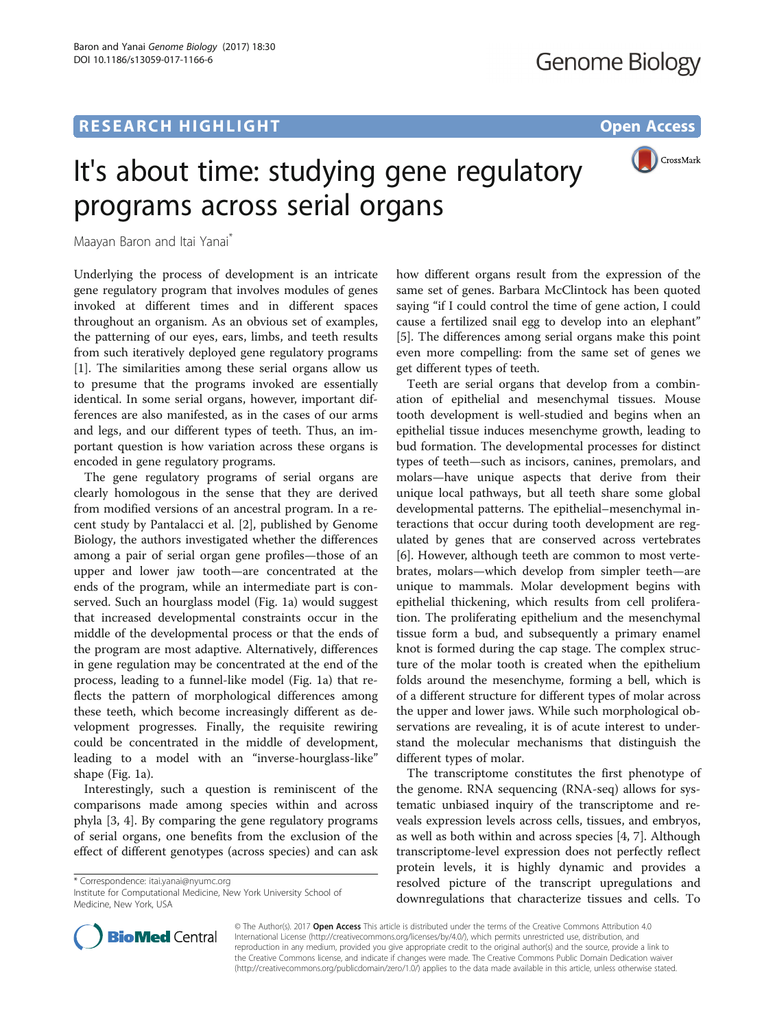## R E S EAR CH HIGH LIGH THAT LIGHT THAT THE RESERVE THAT THE RESERVE THAT THE RESERVE THAT THE RESERVE THAT THE



# It's about time: studying gene regulatory programs across serial organs

Maayan Baron and Itai Yanai\*

Underlying the process of development is an intricate gene regulatory program that involves modules of genes invoked at different times and in different spaces throughout an organism. As an obvious set of examples, the patterning of our eyes, ears, limbs, and teeth results from such iteratively deployed gene regulatory programs [[1\]](#page-2-0). The similarities among these serial organs allow us to presume that the programs invoked are essentially identical. In some serial organs, however, important differences are also manifested, as in the cases of our arms and legs, and our different types of teeth. Thus, an important question is how variation across these organs is encoded in gene regulatory programs.

The gene regulatory programs of serial organs are clearly homologous in the sense that they are derived from modified versions of an ancestral program. In a recent study by Pantalacci et al. [[2\]](#page-2-0), published by Genome Biology, the authors investigated whether the differences among a pair of serial organ gene profiles—those of an upper and lower jaw tooth—are concentrated at the ends of the program, while an intermediate part is conserved. Such an hourglass model (Fig. [1a\)](#page-1-0) would suggest that increased developmental constraints occur in the middle of the developmental process or that the ends of the program are most adaptive. Alternatively, differences in gene regulation may be concentrated at the end of the process, leading to a funnel-like model (Fig. [1a\)](#page-1-0) that reflects the pattern of morphological differences among these teeth, which become increasingly different as development progresses. Finally, the requisite rewiring could be concentrated in the middle of development, leading to a model with an "inverse-hourglass-like" shape (Fig. [1a\)](#page-1-0).

Interestingly, such a question is reminiscent of the comparisons made among species within and across phyla [[3, 4](#page-2-0)]. By comparing the gene regulatory programs of serial organs, one benefits from the exclusion of the effect of different genotypes (across species) and can ask

\* Correspondence: [itai.yanai@nyumc.org](mailto:itai.yanai@nyumc.org)

Institute for Computational Medicine, New York University School of Medicine, New York, USA

how different organs result from the expression of the same set of genes. Barbara McClintock has been quoted saying "if I could control the time of gene action, I could cause a fertilized snail egg to develop into an elephant" [[5\]](#page-2-0). The differences among serial organs make this point even more compelling: from the same set of genes we get different types of teeth.

Teeth are serial organs that develop from a combination of epithelial and mesenchymal tissues. Mouse tooth development is well-studied and begins when an epithelial tissue induces mesenchyme growth, leading to bud formation. The developmental processes for distinct types of teeth—such as incisors, canines, premolars, and molars—have unique aspects that derive from their unique local pathways, but all teeth share some global developmental patterns. The epithelial–mesenchymal interactions that occur during tooth development are regulated by genes that are conserved across vertebrates [[6\]](#page-2-0). However, although teeth are common to most vertebrates, molars—which develop from simpler teeth—are unique to mammals. Molar development begins with epithelial thickening, which results from cell proliferation. The proliferating epithelium and the mesenchymal tissue form a bud, and subsequently a primary enamel knot is formed during the cap stage. The complex structure of the molar tooth is created when the epithelium folds around the mesenchyme, forming a bell, which is of a different structure for different types of molar across the upper and lower jaws. While such morphological observations are revealing, it is of acute interest to understand the molecular mechanisms that distinguish the different types of molar.

The transcriptome constitutes the first phenotype of the genome. RNA sequencing (RNA-seq) allows for systematic unbiased inquiry of the transcriptome and reveals expression levels across cells, tissues, and embryos, as well as both within and across species [\[4](#page-2-0), [7\]](#page-2-0). Although transcriptome-level expression does not perfectly reflect protein levels, it is highly dynamic and provides a resolved picture of the transcript upregulations and downregulations that characterize tissues and cells. To



© The Author(s). 2017 **Open Access** This article is distributed under the terms of the Creative Commons Attribution 4.0 International License [\(http://creativecommons.org/licenses/by/4.0/](http://creativecommons.org/licenses/by/4.0/)), which permits unrestricted use, distribution, and reproduction in any medium, provided you give appropriate credit to the original author(s) and the source, provide a link to the Creative Commons license, and indicate if changes were made. The Creative Commons Public Domain Dedication waiver [\(http://creativecommons.org/publicdomain/zero/1.0/](http://creativecommons.org/publicdomain/zero/1.0/)) applies to the data made available in this article, unless otherwise stated.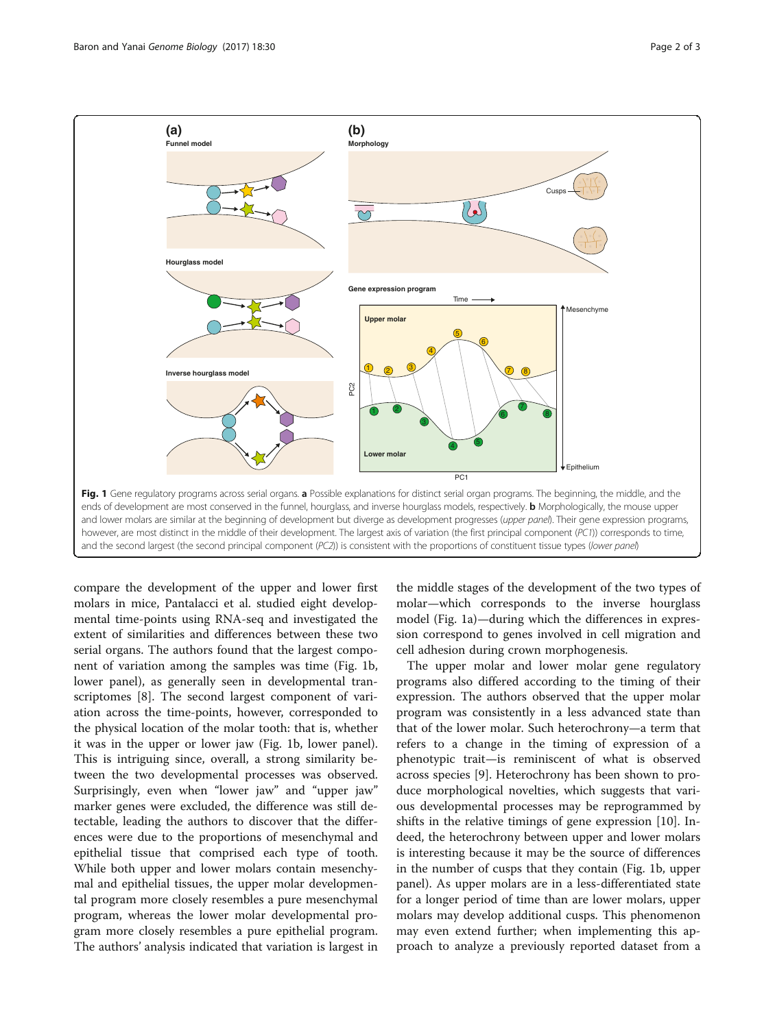

<span id="page-1-0"></span>

compare the development of the upper and lower first molars in mice, Pantalacci et al. studied eight developmental time-points using RNA-seq and investigated the extent of similarities and differences between these two serial organs. The authors found that the largest component of variation among the samples was time (Fig. 1b, lower panel), as generally seen in developmental transcriptomes [[8\]](#page-2-0). The second largest component of variation across the time-points, however, corresponded to the physical location of the molar tooth: that is, whether it was in the upper or lower jaw (Fig. 1b, lower panel). This is intriguing since, overall, a strong similarity between the two developmental processes was observed. Surprisingly, even when "lower jaw" and "upper jaw" marker genes were excluded, the difference was still detectable, leading the authors to discover that the differences were due to the proportions of mesenchymal and epithelial tissue that comprised each type of tooth. While both upper and lower molars contain mesenchymal and epithelial tissues, the upper molar developmental program more closely resembles a pure mesenchymal program, whereas the lower molar developmental program more closely resembles a pure epithelial program. The authors' analysis indicated that variation is largest in

the middle stages of the development of the two types of molar—which corresponds to the inverse hourglass model (Fig. 1a)—during which the differences in expression correspond to genes involved in cell migration and cell adhesion during crown morphogenesis.

The upper molar and lower molar gene regulatory programs also differed according to the timing of their expression. The authors observed that the upper molar program was consistently in a less advanced state than that of the lower molar. Such heterochrony—a term that refers to a change in the timing of expression of a phenotypic trait—is reminiscent of what is observed across species [[9\]](#page-2-0). Heterochrony has been shown to produce morphological novelties, which suggests that various developmental processes may be reprogrammed by shifts in the relative timings of gene expression [[10\]](#page-2-0). Indeed, the heterochrony between upper and lower molars is interesting because it may be the source of differences in the number of cusps that they contain (Fig. 1b, upper panel). As upper molars are in a less-differentiated state for a longer period of time than are lower molars, upper molars may develop additional cusps. This phenomenon may even extend further; when implementing this approach to analyze a previously reported dataset from a